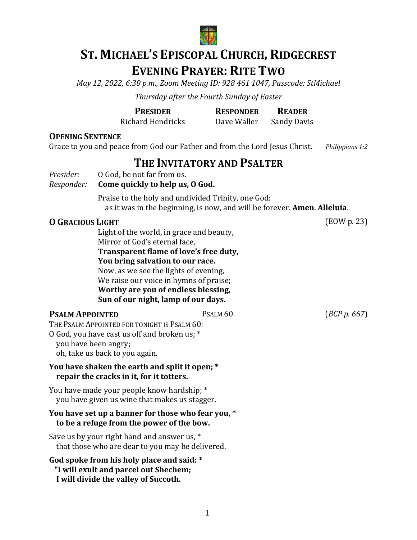

# **ST. MICHAEL'S EPISCOPAL CHURCH, RIDGECREST EVENING PRAYER: RITE TWO**

*May 12, 2022, 6:30 p.m., Zoom Meeting ID: 928 461 1047, Passcode: StMichael*

*Thursday after the Fourth Sunday of Easter*

| <b>PRESIDER</b>   | <b>RESPONDER</b> | <b>READER</b>      |
|-------------------|------------------|--------------------|
| Richard Hendricks | Dave Waller      | <b>Sandy Davis</b> |

#### **OPENING SENTENCE**

Grace to you and peace from God our Father and from the Lord Jesus Christ. *Philippians 1:2* 

# **THE INVITATORY AND PSALTER**

*Presider:* 0 God, be not far from us.<br>*Responder:* **Come quickly to help us,** 

#### *Come quickly to help us, O God.*

Praise to the holy and undivided Trinity, one God: as it was in the beginning, is now, and will be forever. **Amen. Alleluia.** 

## **O GRACIOUS** LIGHT (EOW p. 23)

Light of the world, in grace and beauty, Mirror of God's eternal face, **Transparent flame of love's free duty, You bring salvation to our race.** Now, as we see the lights of evening, We raise our voice in hymns of praise; **Worthy are you of endless blessing, Sun of our night, lamp of our days.**

#### **PSALM APPOINTED** PSALM 60 (*BCP p.* 667)

THE PSALM APPOINTED FOR TONIGHT IS PSALM 60: O God, you have cast us off and broken us; \*

you have been angry;

oh, take us back to you again.

#### **You have shaken the earth and split it open; \* repair the cracks in it, for it totters.**

You have made your people know hardship; \* you have given us wine that makes us stagger.

#### You have set up a banner for those who fear you, \*  **to be a refuge from the power of the bow.**

Save us by your right hand and answer us,  $*$ that those who are dear to you may be delivered.

God spoke from his holy place and said:  $*$ "I will exult and parcel out Shechem; **I** will divide the valley of Succoth.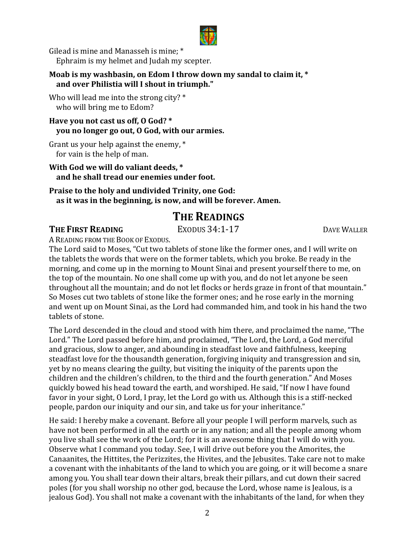

Gilead is mine and Manasseh is mine:  $*$ Ephraim is my helmet and Judah my scepter.

#### **Moab** is my washbasin, on Edom I throw down my sandal to claim it, \* and over Philistia will I shout in triumph."

Who will lead me into the strong city?  $*$ who will bring me to Edom?

## Have you not cast us off, O God? \* **you** no longer go out, O God, with our armies.

Grant us your help against the enemy,  $*$ for vain is the help of man.

#### **With God we will do valiant deeds.** \* and he shall tread our enemies under foot.

**Praise to the holy and undivided Trinity, one God:** as it was in the beginning, is now, and will be forever. Amen.

# **THE READINGS**

## **THE FIRST READING** EXODUS 34:1-17 DAVE WALLER

A READING FROM THE BOOK OF EXODUS.

The Lord said to Moses, "Cut two tablets of stone like the former ones, and I will write on the tablets the words that were on the former tablets, which you broke. Be ready in the morning, and come up in the morning to Mount Sinai and present yourself there to me, on the top of the mountain. No one shall come up with you, and do not let anyone be seen throughout all the mountain; and do not let flocks or herds graze in front of that mountain." So Moses cut two tablets of stone like the former ones; and he rose early in the morning and went up on Mount Sinai, as the Lord had commanded him, and took in his hand the two tablets of stone.

The Lord descended in the cloud and stood with him there, and proclaimed the name, "The Lord." The Lord passed before him, and proclaimed, "The Lord, the Lord, a God merciful and gracious, slow to anger, and abounding in steadfast love and faithfulness, keeping steadfast love for the thousandth generation, forgiving iniquity and transgression and sin, yet by no means clearing the guilty, but visiting the iniquity of the parents upon the children and the children's children, to the third and the fourth generation." And Moses quickly bowed his head toward the earth, and worshiped. He said, "If now I have found favor in your sight, O Lord, I pray, let the Lord go with us. Although this is a stiff-necked people, pardon our iniquity and our sin, and take us for your inheritance."

He said: I hereby make a covenant. Before all your people I will perform marvels, such as have not been performed in all the earth or in any nation; and all the people among whom you live shall see the work of the Lord; for it is an awesome thing that I will do with you. Observe what I command you today. See, I will drive out before you the Amorites, the Canaanites, the Hittites, the Perizzites, the Hivites, and the Jebusites. Take care not to make a covenant with the inhabitants of the land to which you are going, or it will become a snare among you. You shall tear down their altars, break their pillars, and cut down their sacred poles (for you shall worship no other god, because the Lord, whose name is Jealous, is a jealous God). You shall not make a covenant with the inhabitants of the land, for when they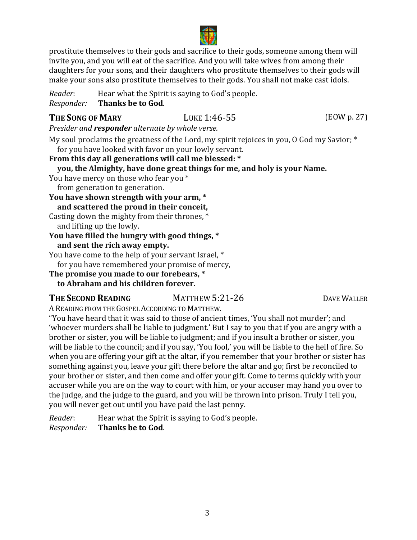

prostitute themselves to their gods and sacrifice to their gods, someone among them will invite you, and you will eat of the sacrifice. And you will take wives from among their daughters for your sons, and their daughters who prostitute themselves to their gods will make your sons also prostitute themselves to their gods. You shall not make cast idols.

*Reader*: Hear what the Spirit is saying to God's people.<br>*Responder:* Thanks be to God. **Thanks be to God.** 

## **THE SONG OF MARY LUKE 1:46-55** (EOW p. 27)

*Presider and responder alternate by whole verse.* 

My soul proclaims the greatness of the Lord, my spirit rejoices in you, O God my Savior;  $*$ for you have looked with favor on your lowly servant.

**From this day all generations will call me blessed: \* you, the Almighty, have done great things for me, and holy is your Name.** You have mercy on those who fear you \* from generation to generation. You have shown strength with your arm,  $*$  **and scattered the proud in their conceit,** Casting down the mighty from their thrones,  $*$ and lifting up the lowly. **You have filled the hungry with good things, \* and sent the rich away empty.** You have come to the help of your servant Israel, \* for you have remembered your promise of mercy,

## **The promise you made to our forebears, \***

**to Abraham and his children forever.**

## **THE SECOND READING** MATTHEW 5:21-26 MATTHEW **DAVE WALLER**

A READING FROM THE GOSPEL ACCORDING TO MATTHEW.

"You have heard that it was said to those of ancient times, 'You shall not murder'; and 'whoever murders shall be liable to judgment.' But I say to you that if you are angry with a brother or sister, you will be liable to judgment; and if you insult a brother or sister, you will be liable to the council; and if you say, 'You fool,' you will be liable to the hell of fire. So when you are offering your gift at the altar, if you remember that your brother or sister has something against you, leave your gift there before the altar and go; first be reconciled to your brother or sister, and then come and offer your gift. Come to terms quickly with your accuser while you are on the way to court with him, or your accuser may hand you over to the judge, and the judge to the guard, and you will be thrown into prison. Truly I tell you, you will never get out until you have paid the last penny.

*Reader*: Hear what the Spirit is saying to God's people.<br>*Responder:* **Thanks be to God**. *Responder:* **Thanks be to God**.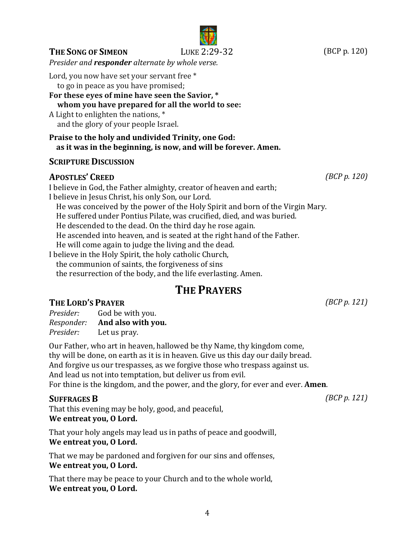## **THE SONG OF SIMEON** LUKE 2:29-32 (BCP p. 120)

*Presider and responder alternate by whole verse.* 

Lord, you now have set your servant free \*

to go in peace as you have promised;

## For these eves of mine have seen the Savior, \* **whom you have prepared for all the world to see:**

A Light to enlighten the nations,  $*$ and the glory of your people Israel.

**Praise to the holy and undivided Trinity, one God: as it was in the beginning, is now, and will be forever. Amen.**

# **SCRIPTURE DISCUSSION**

# **APOSTLES' CREED** *(BCP p. 120)*

I believe in God, the Father almighty, creator of heaven and earth; I believe in Jesus Christ, his only Son, our Lord. He was conceived by the power of the Holy Spirit and born of the Virgin Mary. He suffered under Pontius Pilate, was crucified, died, and was buried. He descended to the dead. On the third day he rose again. He ascended into heaven, and is seated at the right hand of the Father. He will come again to judge the living and the dead. I believe in the Holy Spirit, the holy catholic Church, the communion of saints, the forgiveness of sins the resurrection of the body, and the life everlasting. Amen.

# **THE PRAYERS**

# **THE LORD'S PRAYER** *(BCP p. 121)*

| Presider:  | God be with you.   |
|------------|--------------------|
| Responder: | And also with you. |
| Presider:  | Let us pray.       |

Our Father, who art in heaven, hallowed be thy Name, thy kingdom come, thy will be done, on earth as it is in heaven. Give us this day our daily bread. And forgive us our trespasses, as we forgive those who trespass against us. And lead us not into temptation, but deliver us from evil. For thine is the kingdom, and the power, and the glory, for ever and ever. **Amen**.

## **SUFFRAGES B** *(BCP p. 121)*

That this evening may be holy, good, and peaceful, We entreat you, O Lord.

That your holy angels may lead us in paths of peace and goodwill, We entreat you, O Lord.

That we may be pardoned and forgiven for our sins and offenses, We entreat you, O Lord.

That there may be peace to your Church and to the whole world, We entreat you, O Lord.

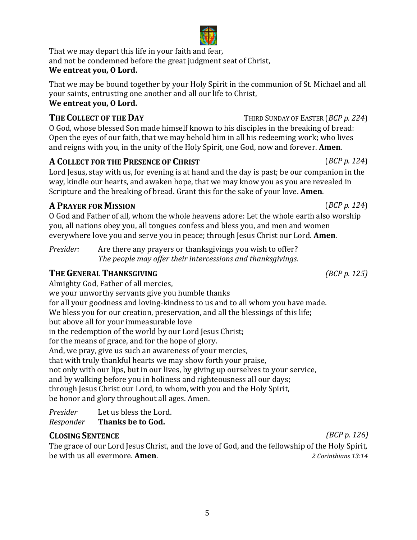and not be condemned before the great judgment seat of Christ, We entreat you, O Lord.

That we may be bound together by your Holy Spirit in the communion of St. Michael and all your saints, entrusting one another and all our life to Christ, We entreat you, O Lord.

O God, whose blessed Son made himself known to his disciples in the breaking of bread: Open the eyes of our faith, that we may behold him in all his redeeming work; who lives and reigns with you, in the unity of the Holy Spirit, one God, now and forever. **Amen**.

# **A COLLECT** FOR THE PRESENCE OF **CHRIST** (*BCP p.* 124)

Lord Jesus, stay with us, for evening is at hand and the day is past; be our companion in the way, kindle our hearts, and awaken hope, that we may know you as you are revealed in Scripture and the breaking of bread. Grant this for the sake of your love. **Amen**.

# **A PRAYER FOR MISSION** (*BCP p.* 124)

O God and Father of all, whom the whole heavens adore: Let the whole earth also worship you, all nations obey you, all tongues confess and bless you, and men and women everywhere love you and serve you in peace; through Jesus Christ our Lord. **Amen**.

*Presider:* Are there any prayers or thanksgivings you wish to offer? *The people may offer their intercessions and thanksgivings.* 

# **THE GENERAL THANKSGIVING** *(BCP p. 125)*

Almighty God, Father of all mercies, we your unworthy servants give you humble thanks for all your goodness and loving-kindness to us and to all whom you have made. We bless you for our creation, preservation, and all the blessings of this life; but above all for your immeasurable love in the redemption of the world by our Lord Jesus Christ; for the means of grace, and for the hope of glory. And, we pray, give us such an awareness of your mercies, that with truly thankful hearts we may show forth your praise, not only with our lips, but in our lives, by giving up ourselves to your service, and by walking before you in holiness and righteousness all our days; through Jesus Christ our Lord, to whom, with you and the Holy Spirit, be honor and glory throughout all ages. Amen.

*Presider* Let us bless the Lord.<br>Responder **Thanks be to God.** *Thanks* be to God.

# **CLOSING SENTENCE** *(BCP p. 126)*

The grace of our Lord Jesus Christ, and the love of God, and the fellowship of the Holy Spirit,<br>he with us all evermore. **Amen** be with us all evermore. **Amen**.

**THE COLLECT OF THE DAY** THIRD SUNDAY OF EASTER (*BCP p.* 224)